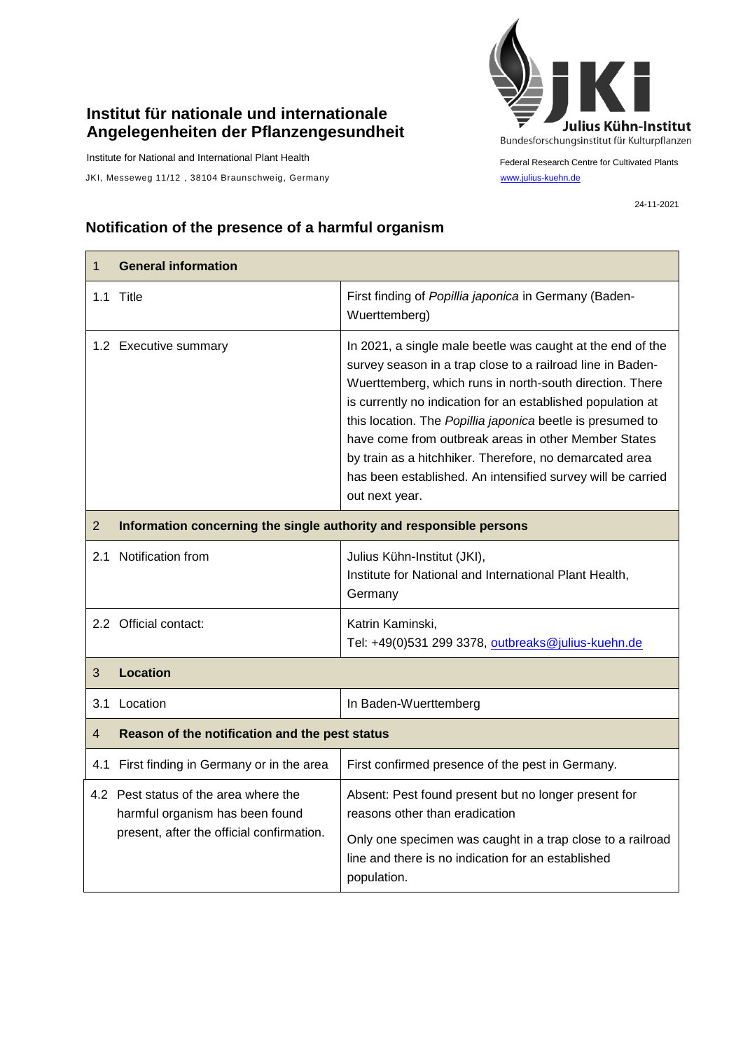## **Institut für nationale und internationale Angelegenheiten der Pflanzengesundheit**

Institute for National and International Plant Health

JKI, Messeweg 11/12, 38104 Braunschweig, Germany [www.julius-kuehn.de](http://www.julius-kuehn.de/)



Federal Research Centre for Cultivated Plants

24-11-2021

## **Notification of the presence of a harmful organism**

| 1              | <b>General information</b>                                                                                            |                                                                                                                                                                                                                                                                                                                                                                                                                                                                                                                       |  |
|----------------|-----------------------------------------------------------------------------------------------------------------------|-----------------------------------------------------------------------------------------------------------------------------------------------------------------------------------------------------------------------------------------------------------------------------------------------------------------------------------------------------------------------------------------------------------------------------------------------------------------------------------------------------------------------|--|
|                | 1.1 Title                                                                                                             | First finding of Popillia japonica in Germany (Baden-<br>Wuerttemberg)                                                                                                                                                                                                                                                                                                                                                                                                                                                |  |
|                | 1.2 Executive summary                                                                                                 | In 2021, a single male beetle was caught at the end of the<br>survey season in a trap close to a railroad line in Baden-<br>Wuerttemberg, which runs in north-south direction. There<br>is currently no indication for an established population at<br>this location. The Popillia japonica beetle is presumed to<br>have come from outbreak areas in other Member States<br>by train as a hitchhiker. Therefore, no demarcated area<br>has been established. An intensified survey will be carried<br>out next year. |  |
| $\overline{2}$ | Information concerning the single authority and responsible persons                                                   |                                                                                                                                                                                                                                                                                                                                                                                                                                                                                                                       |  |
|                | 2.1 Notification from                                                                                                 | Julius Kühn-Institut (JKI),<br>Institute for National and International Plant Health,<br>Germany                                                                                                                                                                                                                                                                                                                                                                                                                      |  |
|                | 2.2 Official contact:                                                                                                 | Katrin Kaminski,<br>Tel: +49(0)531 299 3378, outbreaks@julius-kuehn.de                                                                                                                                                                                                                                                                                                                                                                                                                                                |  |
| 3              | <b>Location</b>                                                                                                       |                                                                                                                                                                                                                                                                                                                                                                                                                                                                                                                       |  |
|                | 3.1 Location                                                                                                          | In Baden-Wuerttemberg                                                                                                                                                                                                                                                                                                                                                                                                                                                                                                 |  |
| 4              | Reason of the notification and the pest status                                                                        |                                                                                                                                                                                                                                                                                                                                                                                                                                                                                                                       |  |
|                | 4.1 First finding in Germany or in the area                                                                           | First confirmed presence of the pest in Germany.                                                                                                                                                                                                                                                                                                                                                                                                                                                                      |  |
|                | 4.2 Pest status of the area where the<br>harmful organism has been found<br>present, after the official confirmation. | Absent: Pest found present but no longer present for<br>reasons other than eradication<br>Only one specimen was caught in a trap close to a railroad<br>line and there is no indication for an established                                                                                                                                                                                                                                                                                                            |  |
|                |                                                                                                                       | population.                                                                                                                                                                                                                                                                                                                                                                                                                                                                                                           |  |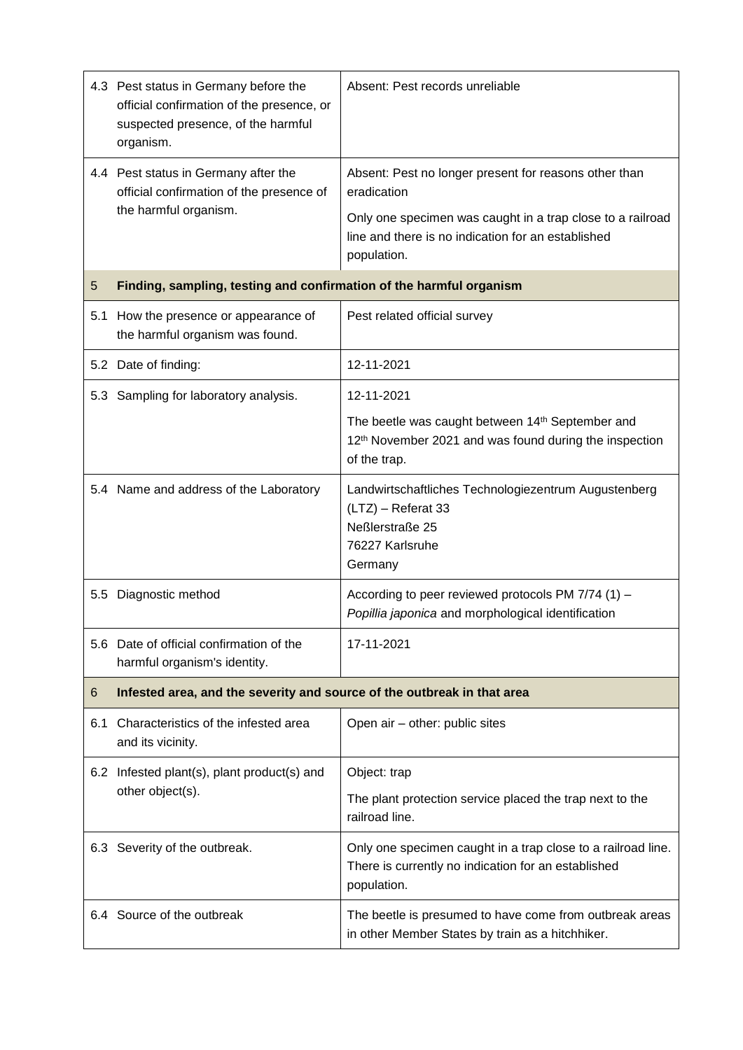|     | 4.3 Pest status in Germany before the<br>official confirmation of the presence, or<br>suspected presence, of the harmful<br>organism. | Absent: Pest records unreliable                                                                                                                                                                         |
|-----|---------------------------------------------------------------------------------------------------------------------------------------|---------------------------------------------------------------------------------------------------------------------------------------------------------------------------------------------------------|
|     | 4.4 Pest status in Germany after the<br>official confirmation of the presence of<br>the harmful organism.                             | Absent: Pest no longer present for reasons other than<br>eradication<br>Only one specimen was caught in a trap close to a railroad<br>line and there is no indication for an established<br>population. |
| 5   | Finding, sampling, testing and confirmation of the harmful organism                                                                   |                                                                                                                                                                                                         |
| 5.1 | How the presence or appearance of<br>the harmful organism was found.                                                                  | Pest related official survey                                                                                                                                                                            |
|     | 5.2 Date of finding:                                                                                                                  | 12-11-2021                                                                                                                                                                                              |
|     | 5.3 Sampling for laboratory analysis.                                                                                                 | 12-11-2021                                                                                                                                                                                              |
|     |                                                                                                                                       | The beetle was caught between 14th September and<br>12 <sup>th</sup> November 2021 and was found during the inspection<br>of the trap.                                                                  |
|     | 5.4 Name and address of the Laboratory                                                                                                | Landwirtschaftliches Technologiezentrum Augustenberg<br>(LTZ) - Referat 33<br>Neßlerstraße 25<br>76227 Karlsruhe<br>Germany                                                                             |
|     | 5.5 Diagnostic method                                                                                                                 | According to peer reviewed protocols PM 7/74 (1) -<br>Popillia japonica and morphological identification                                                                                                |
|     | 5.6 Date of official confirmation of the<br>harmful organism's identity.                                                              | 17-11-2021                                                                                                                                                                                              |
| 6   | Infested area, and the severity and source of the outbreak in that area                                                               |                                                                                                                                                                                                         |
| 6.1 | Characteristics of the infested area<br>and its vicinity.                                                                             | Open air - other: public sites                                                                                                                                                                          |
|     | 6.2 Infested plant(s), plant product(s) and<br>other object(s).                                                                       | Object: trap                                                                                                                                                                                            |
|     |                                                                                                                                       | The plant protection service placed the trap next to the<br>railroad line.                                                                                                                              |
|     | 6.3 Severity of the outbreak.                                                                                                         | Only one specimen caught in a trap close to a railroad line.<br>There is currently no indication for an established<br>population.                                                                      |
|     | 6.4 Source of the outbreak                                                                                                            | The beetle is presumed to have come from outbreak areas<br>in other Member States by train as a hitchhiker.                                                                                             |